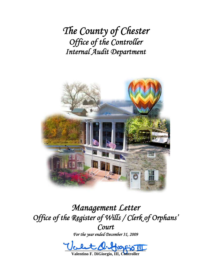*The County of Chester Office of the Controller Internal Audit Department*



*Management Letter Office of the Register of Wills / Clerk of Orphans' Court* 

*For the year ended December 31, 2009* 

 $\underline{\text{max}}$ 

**Valentino F. DiGiorgio, III, Controller**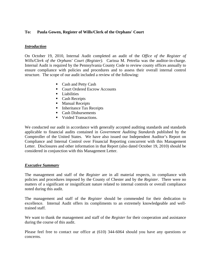## **To: Paula Gowen, Register of Wills/Clerk of the Orphans' Court**

### *Introduction*

On October 19, 2010, Internal Audit completed an audit of the *Office of the Register of Wills/Clerk of the Orphans' Court (Register).* Carissa M. Petrelia was the auditor-in-charge. Internal Audit is required by the Pennsylvania County Code to review county offices annually to ensure compliance with policies and procedures and to assess their overall internal control structure. The scope of our audit included a review of the following:

- Cash and Petty Cash
- Court Ordered Escrow Accounts
- $\blacksquare$  Liabilities
- Cash Receipts
- **Manual Receipts**
- Inheritance Tax Receipts
- Cash Disbursements
- **Voided Transactions.**

We conducted our audit in accordance with generally accepted auditing standards and standards applicable to financial audits contained in *Government Auditing Standards* published by the Comptroller of the United States. We have also issued our Independent Auditor's Report on Compliance and Internal Control over Financial Reporting concurrent with this Management Letter. Disclosures and other information in that Report (also dated October 19, 2010) should be considered in conjunction with this Management Letter.

#### *Executive Summary*

The management and staff of the *Register* are in all material respects, in compliance with policies and procedures imposed by the County of Chester and by the *Register*. There were no matters of a significant or insignificant nature related to internal controls or overall compliance noted during this audit.

The management and staff of the *Register* should be commended for their dedication to excellence. Internal Audit offers its compliments to an extremely knowledgeable and welltrained staff.

We want to thank the management and staff of the *Register* for their cooperation and assistance during the course of this audit.

Please feel free to contact our office at (610) 344-6064 should you have any questions or concerns.